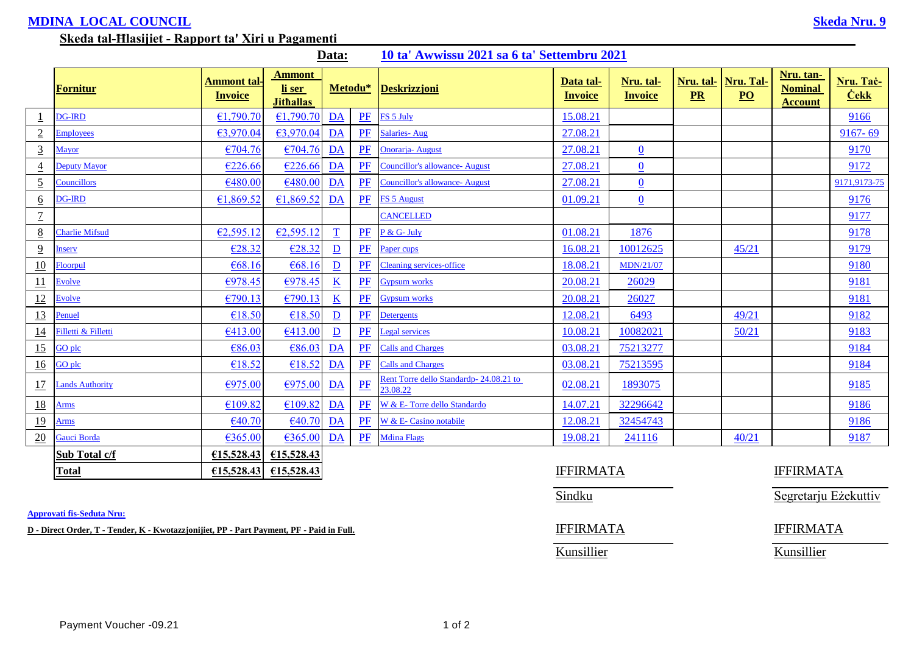## **MDINA LOCAL COUNCIL Skeda Nru. 9**

## **Skeda tal-Ħlasijiet - Rapport ta' Xiri u Pagamenti**

|                  | Fornitur               | <b>Ammont tal-</b><br><b>Invoice</b> | <b>Ammont</b><br>li ser<br><b>Jithallas</b> |                         | Metodu* | <b>Deskrizzjoni</b>                                 | Data tal-<br><b>Invoice</b> | Nru. tal-<br><b>Invoice</b> | Nru. tal-<br>PR | Nru. Tal-<br>$\underline{PO}$ | Nru. tan-<br><b>Nominal</b><br><b>Account</b> | Nru. Taċ-<br><b>Cekk</b> |  |
|------------------|------------------------|--------------------------------------|---------------------------------------------|-------------------------|---------|-----------------------------------------------------|-----------------------------|-----------------------------|-----------------|-------------------------------|-----------------------------------------------|--------------------------|--|
|                  | <b>DG-IRD</b>          | €1,790.70                            | €1,790.70                                   | DA                      | PF      | FS 5 July                                           | 15.08.21                    |                             |                 |                               |                                               | 9166                     |  |
| $\overline{2}$   | <b>Employees</b>       | €3,970.04                            | €3,970.04                                   | DA                      | PF      | <b>Salaries-Aug</b>                                 | 27.08.21                    |                             |                 |                               |                                               | $9167 - 69$              |  |
| $\overline{3}$   | <b>Mayor</b>           | €704.76                              | €704.76                                     | DA                      | PF      | Onorarja- August                                    | 27.08.21                    | $\overline{0}$              |                 |                               |                                               | 9170                     |  |
| $\overline{4}$   | <b>Deputy Mayor</b>    | €226.66                              | €226.66                                     | DA                      | PF      | <b>Councillor's allowance- August</b>               | 27.08.21                    | $\underline{0}$             |                 |                               |                                               | 9172                     |  |
| $\overline{2}$   | Councillors            | €480.00                              | €480.00                                     | DA                      | PF      | <b>Councillor's allowance- August</b>               | 27.08.21                    | $\underline{0}$             |                 |                               |                                               | 9171,9173-75             |  |
| 6                | <b>DG-IRD</b>          | €1,869.52                            | €1,869.52                                   | DA                      | $P$ F   | <b>FS 5 August</b>                                  | 01.09.21                    | $\overline{0}$              |                 |                               |                                               | 9176                     |  |
| $\overline{1}$   |                        |                                      |                                             |                         |         | <b>CANCELLED</b>                                    |                             |                             |                 |                               |                                               | 9177                     |  |
| $8\overline{8}$  | <b>Charlie Mifsud</b>  | €2,595.12                            | €2,595.12                                   | $\mathbf T$             | PF      | P & G- July                                         | 01.08.21                    | 1876                        |                 |                               |                                               | 9178                     |  |
| $\overline{9}$   | <b>Inserv</b>          | €28.32                               | €28.32                                      | $\overline{D}$          | PF      | Paper cups                                          | 16.08.21                    | 10012625                    |                 | 45/21                         |                                               | 9179                     |  |
| 10               | Floorpul               | €68.16                               | €68.16                                      | $\overline{\mathbf{D}}$ | PF      | <b>Cleaning services-office</b>                     | 18.08.21                    | MDN/21/07                   |                 |                               |                                               | 9180                     |  |
| 11               | Evolve                 | €978.45                              | €978.45                                     | $\overline{\mathbf{K}}$ | PF      | <b>Gypsum</b> works                                 | 20.08.21                    | 26029                       |                 |                               |                                               | 9181                     |  |
| 12               | Evolve                 | €790.13                              | €790.13                                     | $\overline{\mathbf{K}}$ | PF      | <b>Gypsum</b> works                                 | 20.08.21                    | 26027                       |                 |                               |                                               | 9181                     |  |
| <u>13</u>        | Penuel                 | €18.50                               | €18.50                                      | $\overline{\mathbf{D}}$ | PF      | <b>Detergents</b>                                   | 12.08.21                    | 6493                        |                 | 49/21                         |                                               | 9182                     |  |
| <u>14</u>        | Filletti & Filletti    | €413.00                              | €413.00                                     | $\mathbf{D}$            | PF      | <b>Legal services</b>                               | 10.08.21                    | 10082021                    |                 | 50/21                         |                                               | 9183                     |  |
| <u>15</u>        | GO plc                 | €86.03                               | €86.03                                      | DA                      | PF      | <b>Calls and Charges</b>                            | 03.08.21                    | 75213277                    |                 |                               |                                               | 9184                     |  |
| 16               | GO plc                 | €18.52                               | €18.52                                      | DA                      | PF      | <b>Calls and Charges</b>                            | 03.08.21                    | 75213595                    |                 |                               |                                               | 9184                     |  |
| <u>17</u>        | <b>Lands Authority</b> | €975.00                              | €975.00                                     | DA                      | $P$ $E$ | Rent Torre dello Standardp- 24.08.21 to<br>23.08.22 | 02.08.21                    | 1893075                     |                 |                               |                                               | 9185                     |  |
| <u>18</u>        | Arms                   | €109.82                              | €109.82                                     | DA                      | PF      | W & E- Torre dello Standardo                        | 14.07.21                    | 32296642                    |                 |                               |                                               | 9186                     |  |
| <u>19</u>        | Arms                   | €40.70                               | €40.70                                      | DA                      | PF      | W & E- Casino notabile                              | 12.08.21                    | 32454743                    |                 |                               |                                               | 9186                     |  |
| $\underline{20}$ | <b>Gauci Borda</b>     | €365.00                              | €365.00                                     | DA                      | PF      | <b>Mdina Flags</b>                                  | 19.08.21                    | 241116                      |                 | 40/21                         |                                               | 9187                     |  |
|                  | Sub Total c/f          | €15,528.43                           | €15,528.43                                  |                         |         |                                                     |                             |                             |                 |                               |                                               |                          |  |
|                  | <b>Total</b>           | £15,528.43                           | €15,528.43                                  |                         |         |                                                     | <b>IFFIRMATA</b>            |                             |                 |                               | <b>IFFIRMATA</b>                              |                          |  |

**Data: 10 ta' Awwissu 2021 sa 6 ta' Settembru 2021**

**Approvati fis-Seduta Nru:**

**D** - Direct Order, T - Tender, K - Kwotazzjonijiet, PP - Part Payment, PF - Paid in Full. **IFFIRMATA** IFFIRMATA

Kunsillier Kunsillier

Sindku Sindku Segretarju Eżekuttiv